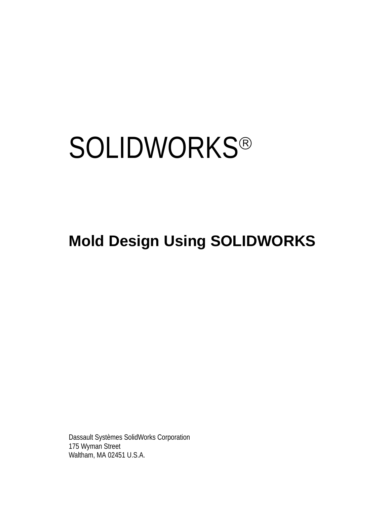# **SOLIDWORKS®**

# **Mold Design Using SOLIDWORKS**

Dassault Systèmes SolidWorks Corporation 175 Wyman Street Waltham, MA 02451 U.S.A.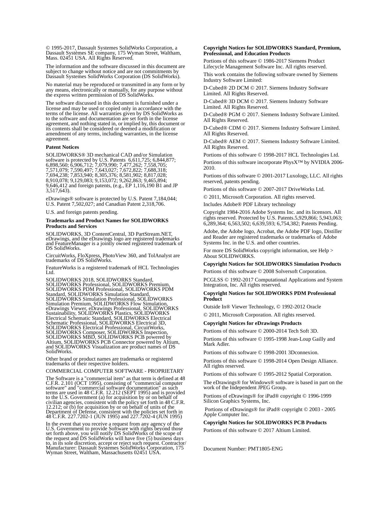© 1995-2017, Dassault Systemes SolidWorks Corporation, a Dassault Systèmes SE company, 175 Wyman Street, Waltham, Mass. 02451 USA. All Rights Reserved.

The information and the software discussed in this document are subject to change without notice and are not commitments by Dassault Systemes SolidWorks Corporation (DS SolidWorks).

No material may be reproduced or transmitted in any form or by any means, electronically or manually, for any purpose without the express written permission of DS SolidWorks.

The software discussed in this document is furnished under a license and may be used or copied only in accordance with the terms of the license. All warranties given by DS SolidWorks as to the software and documentation are set forth in the license agreement, and nothing stated in, or implied by, this document or its contents shall be considered or deemed a modification or amendment of any terms, including warranties, in the license agreement.

#### **Patent Notices**

SOLIDWORKS® 3D mechanical CAD and/or Simulation software is protected by U.S. Patents 6,611,725; 6,844,877; 6,898,560; 6,906,712; 7,079,990; 7,477,262; 7,558,705; 7,571,079; 7,590,497; 7,643,027; 7,672,822; 7,688,318; 7,694,238; 7,853,940; 8,305,376; 8,581,902; 8,817,028; 8,910,078; 9,129,083; 9,153,072; 9,262,863; 9,465,894; 9,646,412 and foreign patents, (e.g., EP 1,116,190 B1 and JP  $3,517,643$ .

eDrawings® software is protected by U.S. Patent 7,184,044; U.S. Patent 7,502,027; and Canadian Patent 2,318,706.

U.S. and foreign patents pending.

#### **Trademarks and Product Names for SOLIDWORKS Products and Services**

SOLIDWORKS, 3D ContentCentral, 3D PartStream.NET, eDrawings, and the eDrawings logo are registered trademarks and FeatureManager is a jointly owned registered trademark of DS SolidWorks.

CircuitWorks, FloXpress, PhotoView 360, and TolAnalyst are trademarks of DS SolidWorks.

FeatureWorks is a registered trademark of HCL Technologies Ltd.

SOLIDWORKS 2018, SOLIDWORKS Standard, SOLIDWORKS Professional, SOLIDWORKS Premium, SOLIDWORKS PDM Professional, SOLIDWORKS PDM Standard, SOLIDWORKS Simulation Standard, SOLIDWORKS Simulation Professional, SOLIDWORKS<br>Simulation Premium, SOLIDWORKS Flow Simulation,<br>eDrawings Viewer, eDrawings Professional, SOLIDWORKS<br>Sustainability, SOLIDWORKS Plastics, SOLIDWORKS<br>Electrical Schematic Stand SOLIDWORKS Electrical Professional, CircuitWorks,<br>SOLIDWORKS Composer, SOLIDWORKS Inspection,<br>SOLIDWORKS MBD, SOLIDWORKS PCB powered by<br>Altium, SOLIDWORKS PCB Connector powered by Altium,<br>and SOLIDWORKS Visualization are p SolidWorks.

Other brand or product names are trademarks or registered trademarks of their respective holders.

COMMERCIAL COMPUTER SOFTWARE - PROPRIETARY

The Software is a "commercial item" as that term is defined at 48 C.F.R. 2.101 (OCT 1995), consisting of "commercial computer software" and "commercial software documentation" as such<br>terms are used in 48 C.F.R. 12.212 (SEPT 1995) and is provided<br>to the U.S. Government (a) for acquisition by or on behalf of<br>civilian agencies, consistent with the Department of Defense, consistent with the policies set forth in 48 C.F.R. 227.7202-1 (JUN 1995) and 227.7202-4 (JUN 1995)

In the event that you receive a request from any agency of the If the event that you created Software with rights beyond those<br>set forth above, you will notify DS SolidWorks of the scope of<br>the request and DS SolidWorks will have five (5) business days<br>to, in its sole discretion, acce Wyman Street, Waltham, Massachusetts 02451 USA.

## **Copyright Notices for SOLIDWORKS Standard, Premium, Professional, and Education Products**

Portions of this software © 1986-2017 Siemens Product Lifecycle Management Software Inc. All rights reserved.

This work contains the following software owned by Siemens Industry Software Limited:

D-Cubed® 2D DCM © 2017. Siemens Industry Software Limited. All Rights Reserved.

D-Cubed® 3D DCM © 2017. Siemens Industry Software Limited. All Rights Reserved.

D-Cubed® PGM © 2017. Siemens Industry Software Limited. All Rights Reserved.

D-Cubed® CDM © 2017. Siemens Industry Software Limited. All Rights Reserved.

D-Cubed® AEM © 2017. Siemens Industry Software Limited. All Rights Reserved.

Portions of this software © 1998-2017 HCL Technologies Ltd. Portions of this software incorporate PhysX™ by NVIDIA 2006- 2010.

Portions of this software © 2001-2017 Luxology, LLC. All rights reserved, patents pending.

Portions of this software © 2007-2017 DriveWorks Ltd.

© 2011, Microsoft Corporation. All rights reserved.

Includes Adobe® PDF Library technology

Copyright 1984-2016 Adobe Systems Inc. and its licensors. All rights reserved. Protected by U.S. Patents.5,929,866; 5,943,063; 6,289,364; 6,563,502; 6,639,593; 6,754,382; Patents Pending.

Adobe, the Adobe logo, Acrobat, the Adobe PDF logo, Distiller and Reader are registered trademarks or trademarks of Adobe Systems Inc. in the U.S. and other countries.

For more DS SolidWorks copyright information, see Help > About SOLIDWORKS.

### **Copyright Notices for SOLIDWORKS Simulation Products**

Portions of this software © 2008 Solversoft Corporation.

PCGLSS © 1992-2017 Computational Applications and System Integration, Inc. All rights reserved.

#### **Copyright Notices for SOLIDWORKS PDM Professional Product**

Outside In® Viewer Technology, © 1992-2012 Oracle © 2011, Microsoft Corporation. All rights reserved.

## **Copyright Notices for eDrawings Products**

Portions of this software © 2000-2014 Tech Soft 3D.

Portions of this software © 1995-1998 Jean-Loup Gailly and Mark Adler.

Portions of this software © 1998-2001 3Dconnexion.

Portions of this software © 1998-2014 Open Design Alliance. All rights reserved.

Portions of this software © 1995-2012 Spatial Corporation.

The eDrawings® for Windows® software is based in part on the work of the Independent JPEG Group.

Portions of eDrawings® for iPad® copyright © 1996-1999 Silicon Graphics Systems, Inc.

 Portions of eDrawings® for iPad® copyright © 2003 - 2005 Apple Computer Inc.

#### **Copyright Notices for SOLIDWORKS PCB Products**

Portions of this software © 2017 Altium Limited.

Document Number: PMT1805-ENG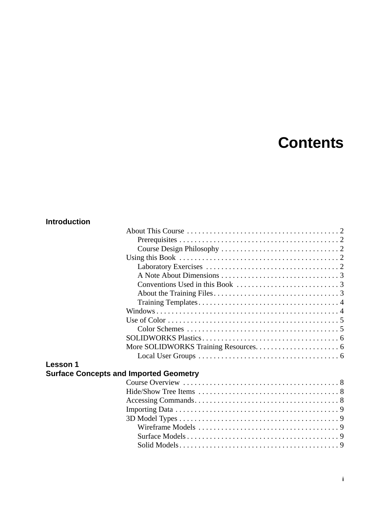# **Contents**

# **Introduction**

| Lesson 1 |                                               |  |
|----------|-----------------------------------------------|--|
|          | <b>Surface Concepts and Imported Geometry</b> |  |
|          |                                               |  |
|          |                                               |  |
|          |                                               |  |
|          |                                               |  |
|          |                                               |  |
|          |                                               |  |
|          |                                               |  |
|          |                                               |  |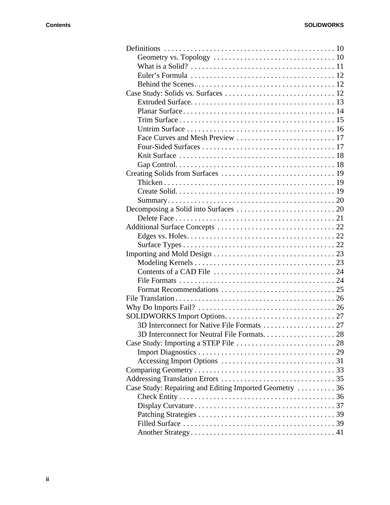| Case Study: Repairing and Editing Imported Geometry  36 |  |
|---------------------------------------------------------|--|
|                                                         |  |
|                                                         |  |
|                                                         |  |
|                                                         |  |
|                                                         |  |
|                                                         |  |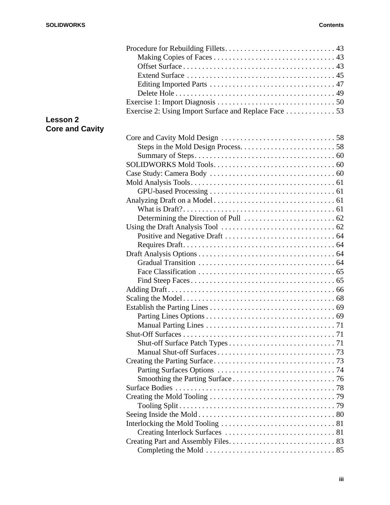| <b>Lesson 2</b>        |  |
|------------------------|--|
| <b>Core and Cavity</b> |  |
|                        |  |
|                        |  |
|                        |  |
|                        |  |
|                        |  |
|                        |  |
|                        |  |
|                        |  |
|                        |  |
|                        |  |
|                        |  |
|                        |  |
|                        |  |
|                        |  |
|                        |  |
|                        |  |
|                        |  |
|                        |  |
|                        |  |
|                        |  |
|                        |  |
|                        |  |
|                        |  |
|                        |  |
|                        |  |
|                        |  |
|                        |  |
|                        |  |
|                        |  |
|                        |  |
|                        |  |
|                        |  |
|                        |  |
|                        |  |
|                        |  |
|                        |  |
|                        |  |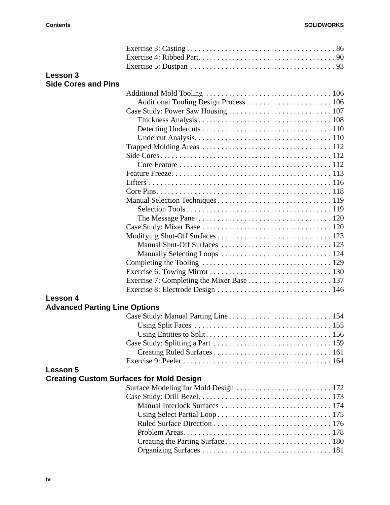| <b>Lesson 3</b>                      |                                                 |
|--------------------------------------|-------------------------------------------------|
| <b>Side Cores and Pins</b>           |                                                 |
|                                      |                                                 |
|                                      |                                                 |
|                                      |                                                 |
|                                      |                                                 |
|                                      |                                                 |
|                                      |                                                 |
|                                      |                                                 |
|                                      |                                                 |
|                                      |                                                 |
|                                      |                                                 |
|                                      |                                                 |
|                                      |                                                 |
|                                      |                                                 |
|                                      |                                                 |
|                                      |                                                 |
|                                      |                                                 |
|                                      |                                                 |
|                                      |                                                 |
|                                      |                                                 |
|                                      |                                                 |
|                                      |                                                 |
|                                      |                                                 |
|                                      |                                                 |
| <b>Lesson 4</b>                      |                                                 |
| <b>Advanced Parting Line Options</b> |                                                 |
|                                      |                                                 |
|                                      |                                                 |
|                                      |                                                 |
|                                      |                                                 |
|                                      |                                                 |
|                                      |                                                 |
| <b>Lesson 5</b>                      |                                                 |
|                                      | <b>Creating Custom Surfaces for Mold Design</b> |
|                                      | Surface Modeling for Mold Design  172           |
|                                      |                                                 |
|                                      |                                                 |
|                                      |                                                 |
|                                      |                                                 |
|                                      |                                                 |
|                                      |                                                 |
|                                      |                                                 |
|                                      |                                                 |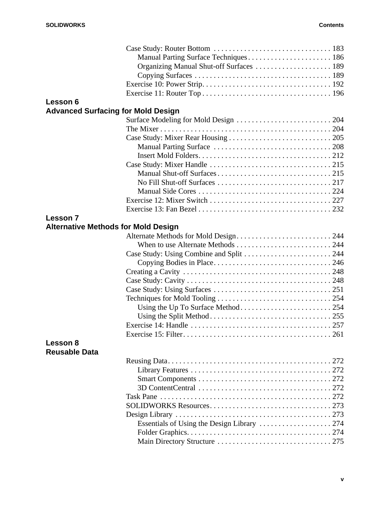|                      | Manual Parting Surface Techniques 186      |  |
|----------------------|--------------------------------------------|--|
|                      | Organizing Manual Shut-off Surfaces  189   |  |
|                      |                                            |  |
|                      |                                            |  |
|                      |                                            |  |
| Lesson 6             |                                            |  |
|                      | <b>Advanced Surfacing for Mold Design</b>  |  |
|                      |                                            |  |
|                      |                                            |  |
|                      |                                            |  |
|                      |                                            |  |
|                      |                                            |  |
|                      |                                            |  |
|                      |                                            |  |
|                      |                                            |  |
|                      |                                            |  |
|                      |                                            |  |
|                      |                                            |  |
| <b>Lesson 7</b>      |                                            |  |
|                      | <b>Alternative Methods for Mold Design</b> |  |
|                      |                                            |  |
|                      |                                            |  |
|                      | Case Study: Using Combine and Split  244   |  |
|                      |                                            |  |
|                      |                                            |  |
|                      |                                            |  |
|                      |                                            |  |
|                      |                                            |  |
|                      |                                            |  |
|                      |                                            |  |
|                      |                                            |  |
|                      |                                            |  |
| Lesson 8             |                                            |  |
| <b>Reusable Data</b> |                                            |  |
|                      |                                            |  |
|                      |                                            |  |
|                      |                                            |  |
|                      |                                            |  |
|                      |                                            |  |
|                      |                                            |  |
|                      |                                            |  |
|                      |                                            |  |
|                      |                                            |  |
|                      |                                            |  |